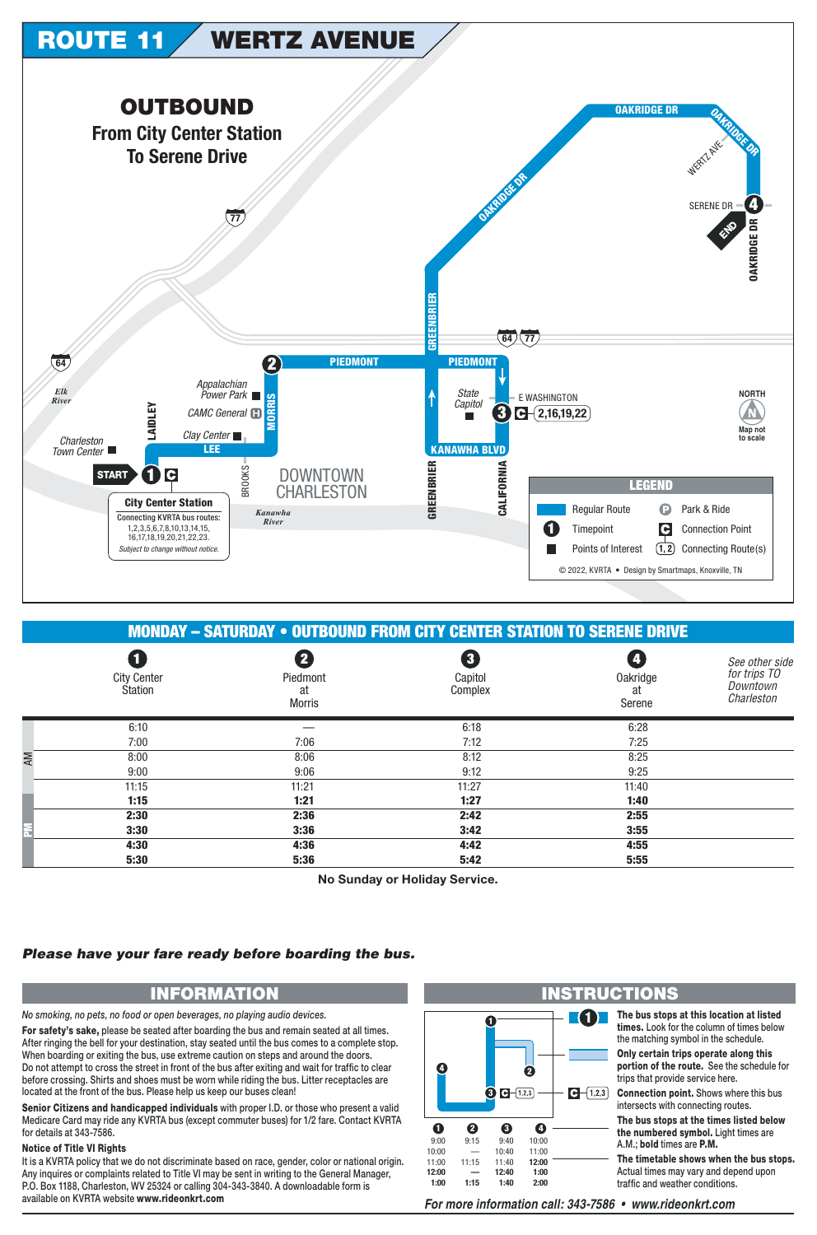

|    | <b>MONDAY - SATURDAY • OUTBOUND FROM CITY CENTER STATION TO SERENE DRIVE</b> |                                 |                         |                                 |                                                          |  |  |
|----|------------------------------------------------------------------------------|---------------------------------|-------------------------|---------------------------------|----------------------------------------------------------|--|--|
|    | O<br><b>City Center</b><br>Station                                           | Piedmont<br>at<br><b>Morris</b> | 3<br>Capitol<br>Complex | <b>Oakridge</b><br>at<br>Serene | See other side<br>for trips TO<br>Downtown<br>Charleston |  |  |
|    | 6:10                                                                         |                                 | 6:18                    | 6:28                            |                                                          |  |  |
|    | 7:00                                                                         | 7:06                            | 7:12                    | 7:25                            |                                                          |  |  |
| ΑM | 8:00                                                                         | 8:06                            | 8:12                    | 8:25                            |                                                          |  |  |
|    | 9:00                                                                         | 9:06                            | 9:12                    | 9:25                            |                                                          |  |  |
|    | 11:15                                                                        | 11:21                           | 11:27                   | 11:40                           |                                                          |  |  |
|    | 1:15                                                                         | 1:21                            | 1:27                    | 1:40                            |                                                          |  |  |
|    | 2:30                                                                         | 2:36                            | 2:42                    | 2:55                            |                                                          |  |  |
| F  | 3:30                                                                         | 3:36                            | 3:42                    | 3:55                            |                                                          |  |  |
|    | 4:30                                                                         | 4:36                            | 4:42                    | 4:55                            |                                                          |  |  |
|    | 5:30                                                                         | 5:36                            | 5:42                    | 5:55                            |                                                          |  |  |

No Sunday or Holiday Service.

## Please have your fare ready before boarding the bus.

## **INFORMATION**

No smoking, no pets, no food or open beverages, no playing audio devices.

For safety's sake, please be seated after boarding the bus and remain seated at all times. After ringing the bell for your destination, stay seated until the bus comes to a complete stop. When boarding or exiting the bus, use extreme caution on steps and around the doors. Do not attempt to cross the street in front of the bus after exiting and wait for traffic to clear before crossing. Shirts and shoes must be worn while riding the bus. Litter receptacles are located at the front of the bus. Please help us keep our buses clean!

Senior Citizens and handicapped individuals with proper I.D. or those who present a valid Medicare Card may ride any KVRTA bus (except commuter buses) for 1/2 fare. Contact KVRTA for details at 343-7586.

## **Notice of Title VI Rights**

It is a KVRTA policy that we do not discriminate based on race, gender, color or national origin. Any inquires or complaints related to Title VI may be sent in writing to the General Manager, P.O. Box 1188, Charleston, WV 25324 or calling 304-343-3840. A downloadable form is available on KVRTA website www.rideonkrt.com



For more information call: 343-7586 • www.rideonkrt.com